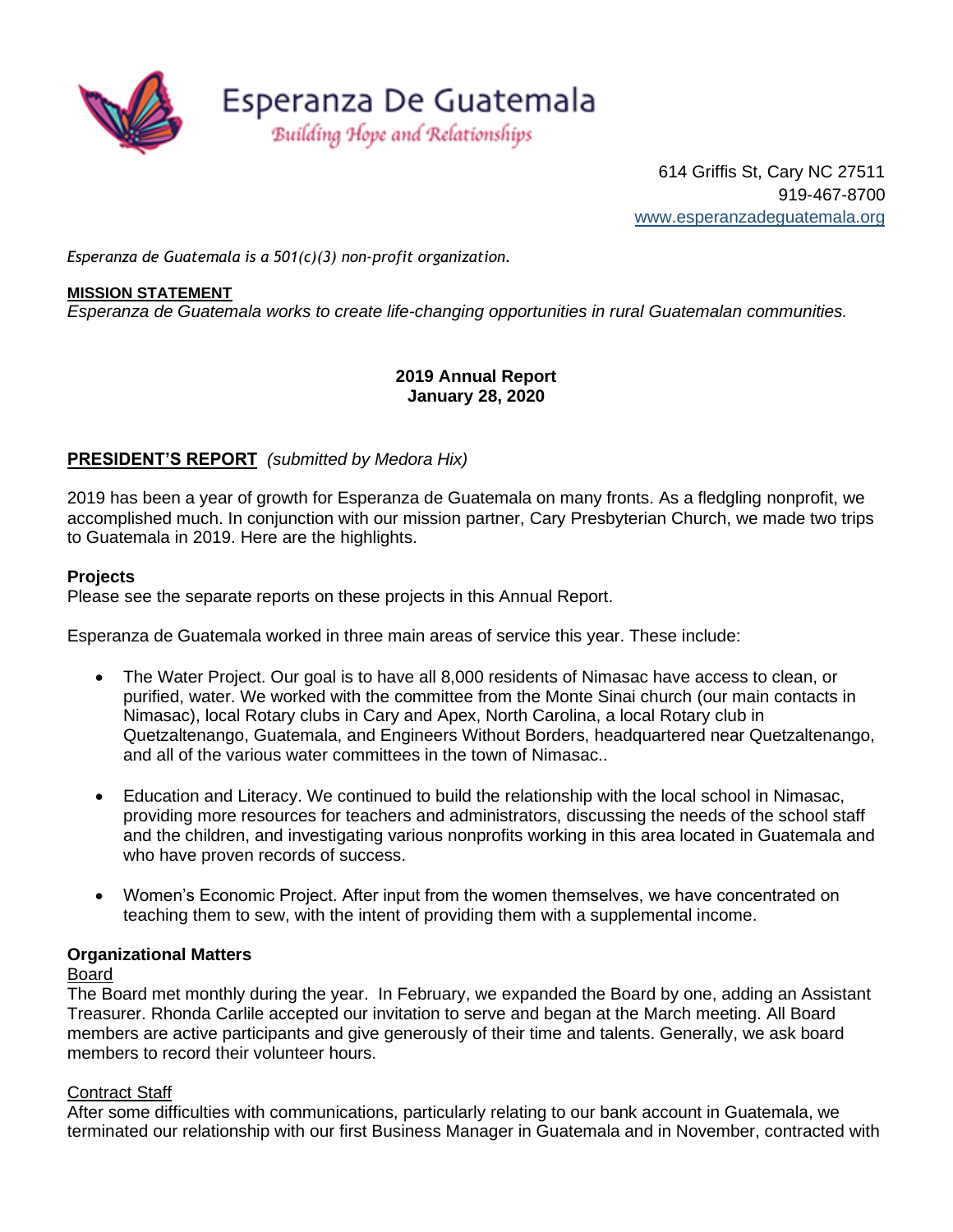

614 Griffis St, Cary NC 27511 919-467-8700 [www.esperanzadeguatemala.org](http://www.esperanzadeguatemala.org/)

*Esperanza de Guatemala is a 501(c)(3) non-profit organization.*

#### **MISSION STATEMENT**

*Esperanza de Guatemala works to create life-changing opportunities in rural Guatemalan communities.*

## **2019 Annual Report January 28, 2020**

#### **PRESIDENT'S REPORT** *(submitted by Medora Hix)*

2019 has been a year of growth for Esperanza de Guatemala on many fronts. As a fledgling nonprofit, we accomplished much. In conjunction with our mission partner, Cary Presbyterian Church, we made two trips to Guatemala in 2019. Here are the highlights.

#### **Projects**

Please see the separate reports on these projects in this Annual Report.

Esperanza de Guatemala worked in three main areas of service this year. These include:

- The Water Project. Our goal is to have all 8,000 residents of Nimasac have access to clean, or purified, water. We worked with the committee from the Monte Sinai church (our main contacts in Nimasac), local Rotary clubs in Cary and Apex, North Carolina, a local Rotary club in Quetzaltenango, Guatemala, and Engineers Without Borders, headquartered near Quetzaltenango, and all of the various water committees in the town of Nimasac..
- Education and Literacy. We continued to build the relationship with the local school in Nimasac, providing more resources for teachers and administrators, discussing the needs of the school staff and the children, and investigating various nonprofits working in this area located in Guatemala and who have proven records of success.
- Women's Economic Project. After input from the women themselves, we have concentrated on teaching them to sew, with the intent of providing them with a supplemental income.

#### **Organizational Matters**

#### Board

The Board met monthly during the year. In February, we expanded the Board by one, adding an Assistant Treasurer. Rhonda Carlile accepted our invitation to serve and began at the March meeting. All Board members are active participants and give generously of their time and talents. Generally, we ask board members to record their volunteer hours.

#### **Contract Staff**

After some difficulties with communications, particularly relating to our bank account in Guatemala, we terminated our relationship with our first Business Manager in Guatemala and in November, contracted with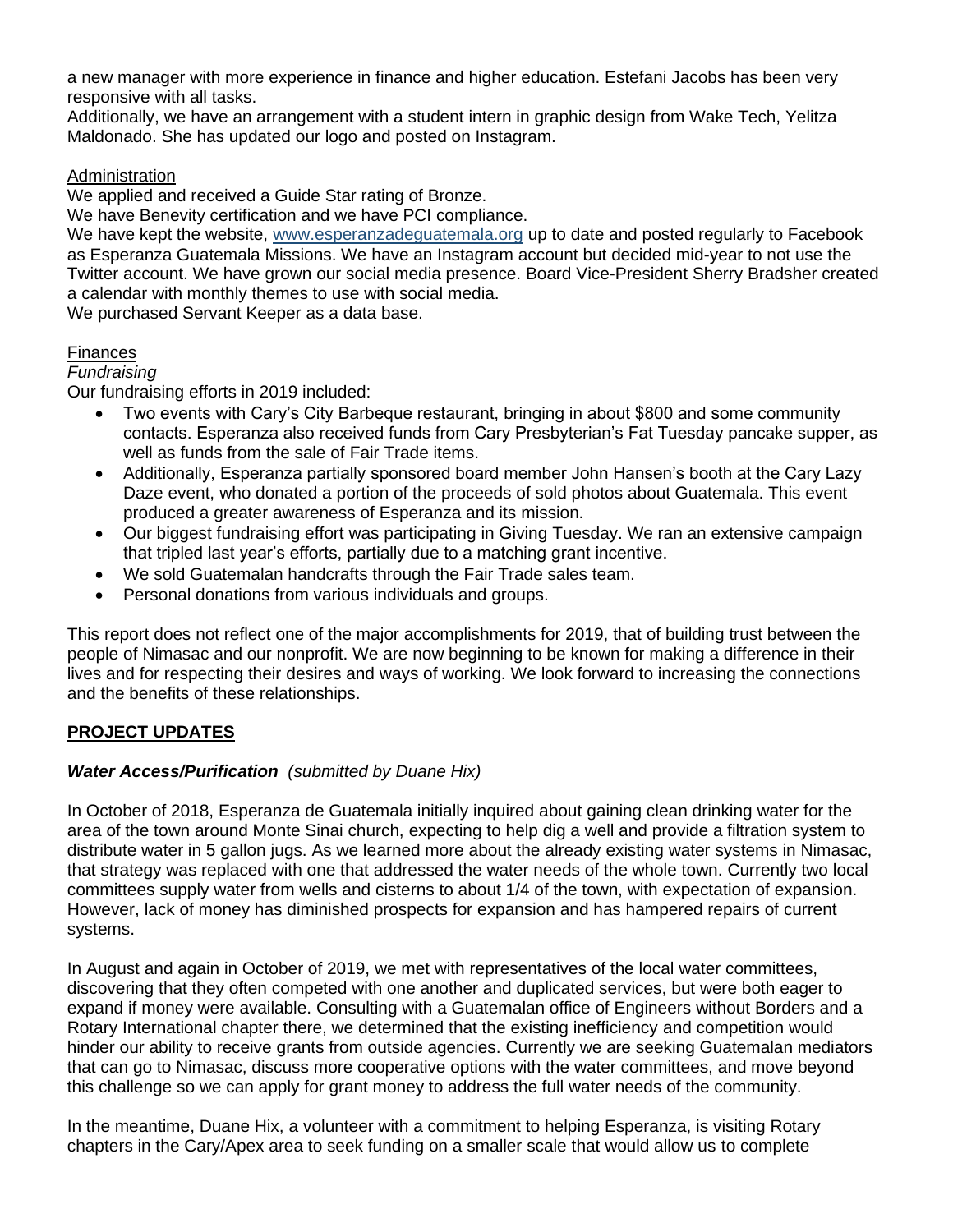a new manager with more experience in finance and higher education. Estefani Jacobs has been very responsive with all tasks.

Additionally, we have an arrangement with a student intern in graphic design from Wake Tech, Yelitza Maldonado. She has updated our logo and posted on Instagram.

# Administration

We applied and received a Guide Star rating of Bronze.

We have Benevity certification and we have PCI compliance.

We have kept the website, [www.esperanzadeguatemala.org](http://www.esperanzadeguatemala.org/) up to date and posted regularly to Facebook as Esperanza Guatemala Missions. We have an Instagram account but decided mid-year to not use the Twitter account. We have grown our social media presence. Board Vice-President Sherry Bradsher created a calendar with monthly themes to use with social media.

We purchased Servant Keeper as a data base.

## Finances

### *Fundraising*

Our fundraising efforts in 2019 included:

- Two events with Cary's City Barbeque restaurant, bringing in about \$800 and some community contacts. Esperanza also received funds from Cary Presbyterian's Fat Tuesday pancake supper, as well as funds from the sale of Fair Trade items.
- Additionally, Esperanza partially sponsored board member John Hansen's booth at the Cary Lazy Daze event, who donated a portion of the proceeds of sold photos about Guatemala. This event produced a greater awareness of Esperanza and its mission.
- Our biggest fundraising effort was participating in Giving Tuesday. We ran an extensive campaign that tripled last year's efforts, partially due to a matching grant incentive.
- We sold Guatemalan handcrafts through the Fair Trade sales team.
- Personal donations from various individuals and groups.

This report does not reflect one of the major accomplishments for 2019, that of building trust between the people of Nimasac and our nonprofit. We are now beginning to be known for making a difference in their lives and for respecting their desires and ways of working. We look forward to increasing the connections and the benefits of these relationships.

# **PROJECT UPDATES**

# *Water Access/Purification (submitted by Duane Hix)*

In October of 2018, Esperanza de Guatemala initially inquired about gaining clean drinking water for the area of the town around Monte Sinai church, expecting to help dig a well and provide a filtration system to distribute water in 5 gallon jugs. As we learned more about the already existing water systems in Nimasac, that strategy was replaced with one that addressed the water needs of the whole town. Currently two local committees supply water from wells and cisterns to about 1/4 of the town, with expectation of expansion. However, lack of money has diminished prospects for expansion and has hampered repairs of current systems.

In August and again in October of 2019, we met with representatives of the local water committees, discovering that they often competed with one another and duplicated services, but were both eager to expand if money were available. Consulting with a Guatemalan office of Engineers without Borders and a Rotary International chapter there, we determined that the existing inefficiency and competition would hinder our ability to receive grants from outside agencies. Currently we are seeking Guatemalan mediators that can go to Nimasac, discuss more cooperative options with the water committees, and move beyond this challenge so we can apply for grant money to address the full water needs of the community.

In the meantime, Duane Hix, a volunteer with a commitment to helping Esperanza, is visiting Rotary chapters in the Cary/Apex area to seek funding on a smaller scale that would allow us to complete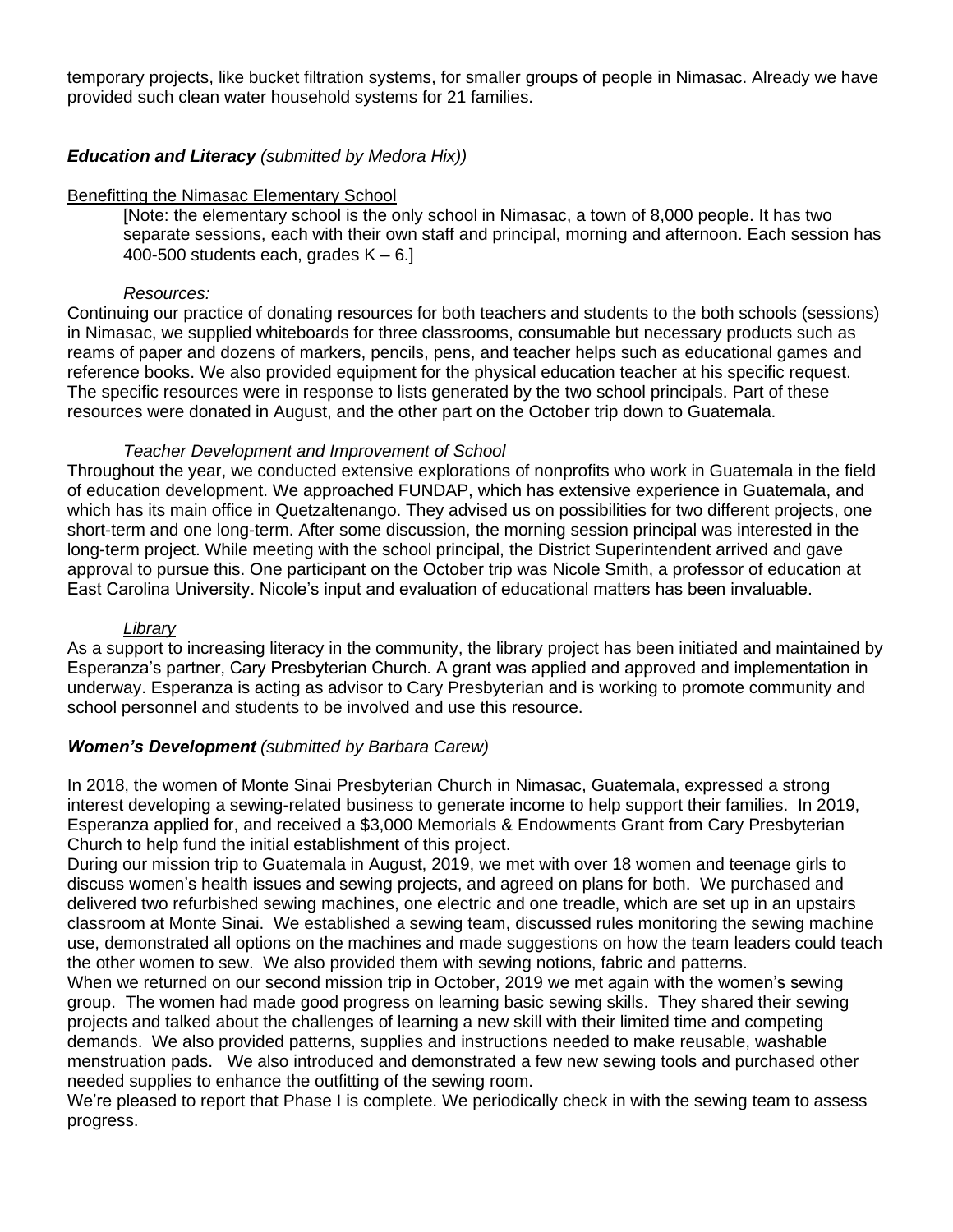temporary projects, like bucket filtration systems, for smaller groups of people in Nimasac. Already we have provided such clean water household systems for 21 families.

# *Education and Literacy (submitted by Medora Hix))*

#### Benefitting the Nimasac Elementary School

[Note: the elementary school is the only school in Nimasac, a town of 8,000 people. It has two separate sessions, each with their own staff and principal, morning and afternoon. Each session has 400-500 students each, grades  $K - 6$ .

#### *Resources:*

Continuing our practice of donating resources for both teachers and students to the both schools (sessions) in Nimasac, we supplied whiteboards for three classrooms, consumable but necessary products such as reams of paper and dozens of markers, pencils, pens, and teacher helps such as educational games and reference books. We also provided equipment for the physical education teacher at his specific request. The specific resources were in response to lists generated by the two school principals. Part of these resources were donated in August, and the other part on the October trip down to Guatemala.

## *Teacher Development and Improvement of School*

Throughout the year, we conducted extensive explorations of nonprofits who work in Guatemala in the field of education development. We approached FUNDAP, which has extensive experience in Guatemala, and which has its main office in Quetzaltenango. They advised us on possibilities for two different projects, one short-term and one long-term. After some discussion, the morning session principal was interested in the long-term project. While meeting with the school principal, the District Superintendent arrived and gave approval to pursue this. One participant on the October trip was Nicole Smith, a professor of education at East Carolina University. Nicole's input and evaluation of educational matters has been invaluable.

## *Library*

As a support to increasing literacy in the community, the library project has been initiated and maintained by Esperanza's partner, Cary Presbyterian Church. A grant was applied and approved and implementation in underway. Esperanza is acting as advisor to Cary Presbyterian and is working to promote community and school personnel and students to be involved and use this resource.

## *Women's Development (submitted by Barbara Carew)*

In 2018, the women of Monte Sinai Presbyterian Church in Nimasac, Guatemala, expressed a strong interest developing a sewing-related business to generate income to help support their families. In 2019, Esperanza applied for, and received a \$3,000 Memorials & Endowments Grant from Cary Presbyterian Church to help fund the initial establishment of this project.

During our mission trip to Guatemala in August, 2019, we met with over 18 women and teenage girls to discuss women's health issues and sewing projects, and agreed on plans for both. We purchased and delivered two refurbished sewing machines, one electric and one treadle, which are set up in an upstairs classroom at Monte Sinai. We established a sewing team, discussed rules monitoring the sewing machine use, demonstrated all options on the machines and made suggestions on how the team leaders could teach the other women to sew. We also provided them with sewing notions, fabric and patterns.

When we returned on our second mission trip in October, 2019 we met again with the women's sewing group. The women had made good progress on learning basic sewing skills. They shared their sewing projects and talked about the challenges of learning a new skill with their limited time and competing demands. We also provided patterns, supplies and instructions needed to make reusable, washable menstruation pads. We also introduced and demonstrated a few new sewing tools and purchased other needed supplies to enhance the outfitting of the sewing room.

We're pleased to report that Phase I is complete. We periodically check in with the sewing team to assess progress.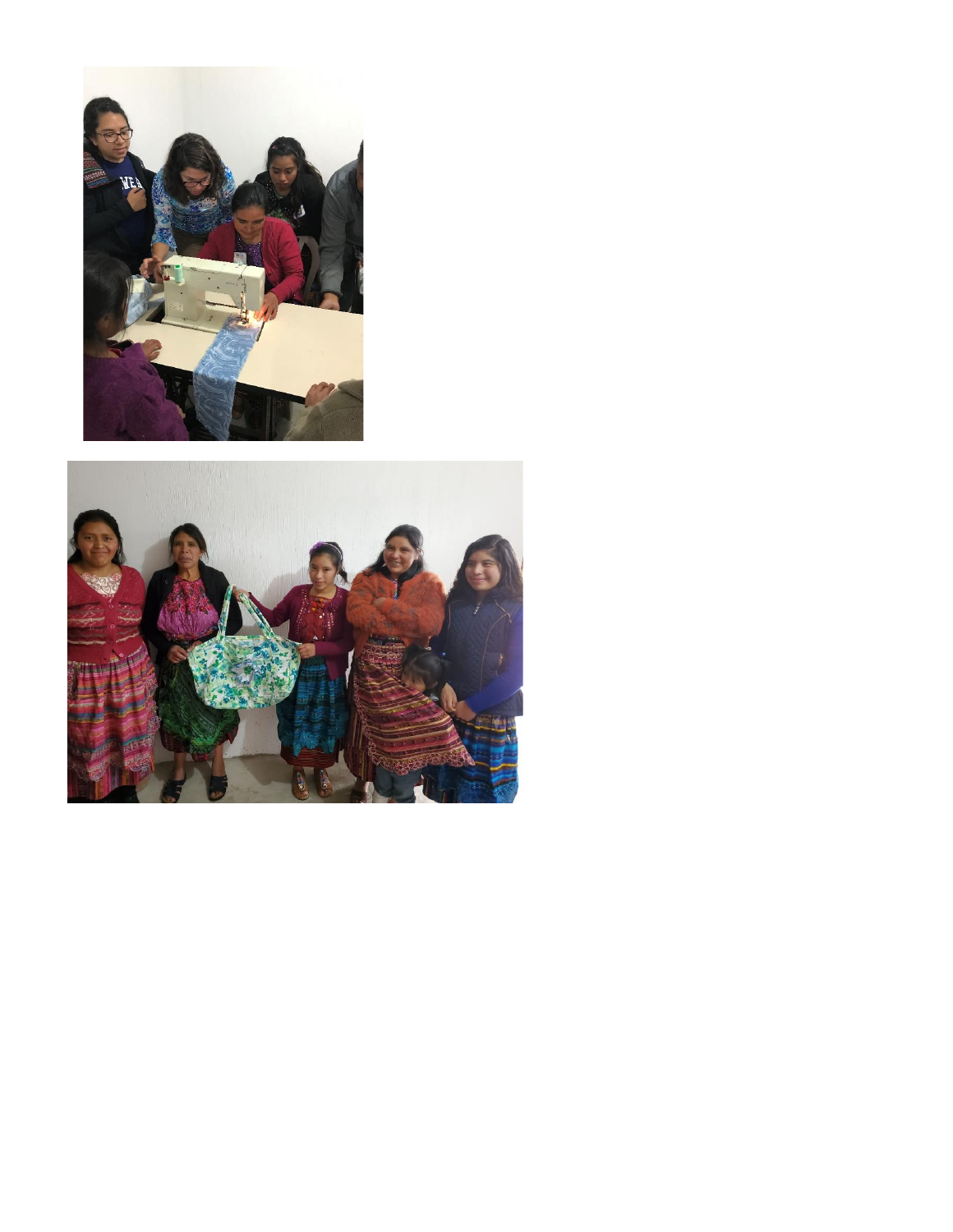